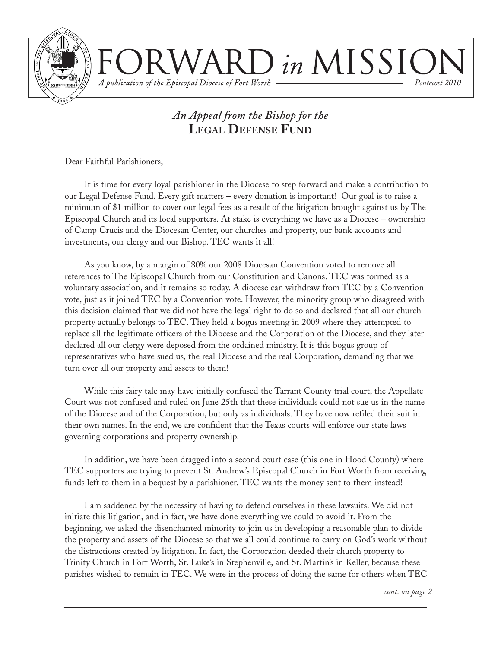

 $\sum$  in MISSIC A publication of the Episcopal Diocese of Fort Worth *Pentecost 2010*

## *An Appeal from the Bishop for the* **LEGAL DEFENSE FUND**

Dear Faithful Parishioners,

It is time for every loyal parishioner in the Diocese to step forward and make a contribution to our Legal Defense Fund. Every gift matters – every donation is important! Our goal is to raise a minimum of \$1 million to cover our legal fees as a result of the litigation brought against us by The Episcopal Church and its local supporters. At stake is everything we have as a Diocese – ownership of Camp Crucis and the Diocesan Center, our churches and property, our bank accounts and investments, our clergy and our Bishop. TEC wants it all!

As you know, by a margin of 80% our 2008 Diocesan Convention voted to remove all references to The Episcopal Church from our Constitution and Canons. TEC was formed as a voluntary association, and it remains so today. A diocese can withdraw from TEC by a Convention vote, just as it joined TEC by a Convention vote. However, the minority group who disagreed with this decision claimed that we did not have the legal right to do so and declared that all our church property actually belongs to TEC. They held a bogus meeting in 2009 where they attempted to replace all the legitimate officers of the Diocese and the Corporation of the Diocese, and they later declared all our clergy were deposed from the ordained ministry. It is this bogus group of representatives who have sued us, the real Diocese and the real Corporation, demanding that we turn over all our property and assets to them!

While this fairy tale may have initially confused the Tarrant County trial court, the Appellate Court was not confused and ruled on June 25th that these individuals could not sue us in the name of the Diocese and of the Corporation, but only as individuals. They have now refiled their suit in their own names. In the end, we are confident that the Texas courts will enforce our state laws governing corporations and property ownership.

In addition, we have been dragged into a second court case (this one in Hood County) where TEC supporters are trying to prevent St. Andrew's Episcopal Church in Fort Worth from receiving funds left to them in a bequest by a parishioner. TEC wants the money sent to them instead!

I am saddened by the necessity of having to defend ourselves in these lawsuits. We did not initiate this litigation, and in fact, we have done everything we could to avoid it. From the beginning, we asked the disenchanted minority to join us in developing a reasonable plan to divide the property and assets of the Diocese so that we all could continue to carry on God's work without the distractions created by litigation. In fact, the Corporation deeded their church property to Trinity Church in Fort Worth, St. Luke's in Stephenville, and St. Martin's in Keller, because these parishes wished to remain in TEC. We were in the process of doing the same for others when TEC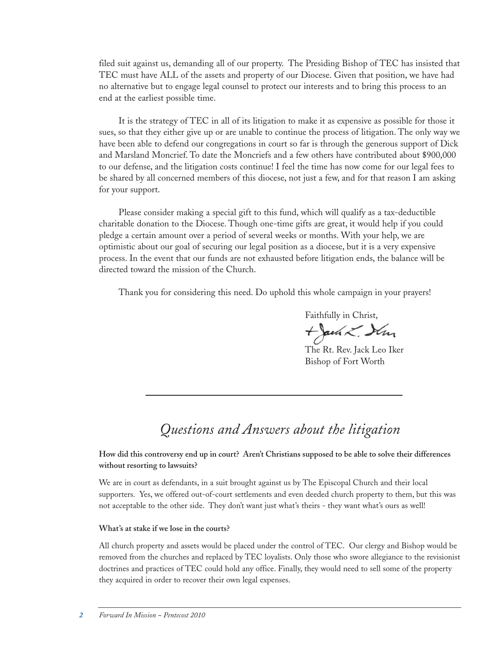filed suit against us, demanding all of our property. The Presiding Bishop of TEC has insisted that TEC must have ALL of the assets and property of our Diocese. Given that position, we have had no alternative but to engage legal counsel to protect our interests and to bring this process to an end at the earliest possible time.

It is the strategy of TEC in all of its litigation to make it as expensive as possible for those it sues, so that they either give up or are unable to continue the process of litigation. The only way we have been able to defend our congregations in court so far is through the generous support of Dick and Marsland Moncrief. To date the Moncriefs and a few others have contributed about \$900,000 to our defense, and the litigation costs continue! I feel the time has now come for our legal fees to be shared by all concerned members of this diocese, not just a few, and for that reason I am asking for your support.

Please consider making a special gift to this fund, which will qualify as a tax-deductible charitable donation to the Diocese. Though one-time gifts are great, it would help if you could pledge a certain amount over a period of several weeks or months. With your help, we are optimistic about our goal of securing our legal position as a diocese, but it is a very expensive process. In the event that our funds are not exhausted before litigation ends, the balance will be directed toward the mission of the Church.

Thank you for considering this need. Do uphold this whole campaign in your prayers!

Faithfully in Christ,

Bishop of Fort Worth

+Jack L. Sim The Rt. Rev. Jack Leo Iker

## *Questions and Answers about the litigation*

#### **How did this controversy end up in court? Aren't Christians supposed to be able to solve their differences without resorting to lawsuits?**

We are in court as defendants, in a suit brought against us by The Episcopal Church and their local supporters. Yes, we offered out-of-court settlements and even deeded church property to them, but this was not acceptable to the other side. They don't want just what's theirs - they want what's ours as well!

#### **What's at stake if we lose in the courts?**

All church property and assets would be placed under the control of TEC. Our clergy and Bishop would be removed from the churches and replaced by TEC loyalists. Only those who swore allegiance to the revisionist doctrines and practices of TEC could hold any office. Finally, they would need to sell some of the property they acquired in order to recover their own legal expenses.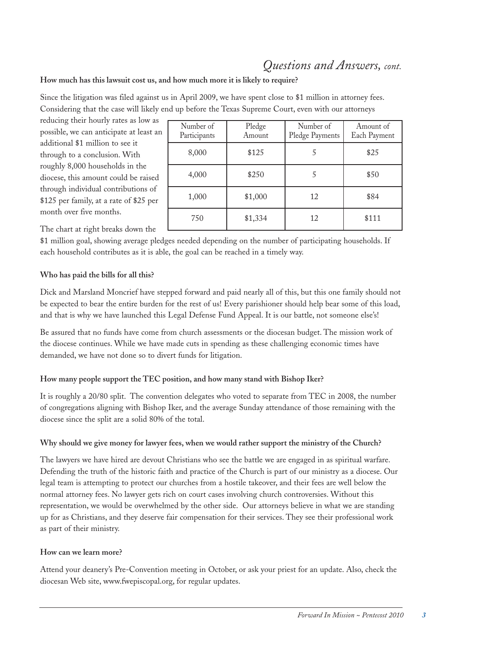## *Questions and Answers, cont.*

#### **How much has this lawsuit cost us, and how much more it is likely to require?**

Since the litigation was filed against us in April 2009, we have spent close to \$1 million in attorney fees. Considering that the case will likely end up before the Texas Supreme Court, even with our attorneys

reducing their hourly rates as low as possible, we can anticipate at least an additional \$1 million to see it through to a conclusion. With roughly 8,000 households in the diocese, this amount could be raised through individual contributions of \$125 per family, at a rate of \$25 per month over five months.

Number of Participants Pledge Amount Number of Pledge Payments Amount of Each Payment 8,000 \ \$125 \ 5 \ \$25 4,000 \$250 5 \$50 1,000 | \$1,000 | 12 | \$84 750 \$1,334 12 \$111

The chart at right breaks down the

\$1 million goal, showing average pledges needed depending on the number of participating households. If each household contributes as it is able, the goal can be reached in a timely way.

#### **Who has paid the bills for all this?**

Dick and Marsland Moncrief have stepped forward and paid nearly all of this, but this one family should not be expected to bear the entire burden for the rest of us! Every parishioner should help bear some of this load, and that is why we have launched this Legal Defense Fund Appeal. It is our battle, not someone else's!

Be assured that no funds have come from church assessments or the diocesan budget. The mission work of the diocese continues. While we have made cuts in spending as these challenging economic times have demanded, we have not done so to divert funds for litigation.

#### **How many people support the TEC position, and how many stand with Bishop Iker?**

It is roughly a 20/80 split. The convention delegates who voted to separate from TEC in 2008, the number of congregations aligning with Bishop Iker, and the average Sunday attendance of those remaining with the diocese since the split are a solid 80% of the total.

#### **Why should we give money for lawyer fees, when we would rather support the ministry of the Church?**

The lawyers we have hired are devout Christians who see the battle we are engaged in as spiritual warfare. Defending the truth of the historic faith and practice of the Church is part of our ministry as a diocese. Our legal team is attempting to protect our churches from a hostile takeover, and their fees are well below the normal attorney fees. No lawyer gets rich on court cases involving church controversies. Without this representation, we would be overwhelmed by the other side. Our attorneys believe in what we are standing up for as Christians, and they deserve fair compensation for their services. They see their professional work as part of their ministry.

#### **How can we learn more?**

Attend your deanery's Pre-Convention meeting in October, or ask your priest for an update. Also, check the diocesan Web site, www.fwepiscopal.org, for regular updates.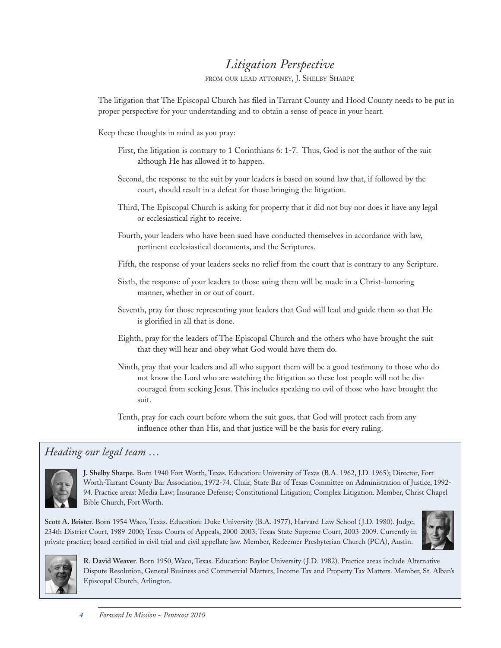## *Litigation Perspective*

FROM OUR LEAD ATTORNEY, J. SHELBY SHARPE

The litigation that The Episcopal Church has filed in Tarrant County and Hood County needs to be put in proper perspective for your understanding and to obtain a sense of peace in your heart.

Keep these thoughts in mind as you pray:

- First, the litigation is contrary to 1 Corinthians 6: 1-7. Thus, God is not the author of the suit although He has allowed it to happen.
- Second, the response to the suit by your leaders is based on sound law that, if followed by the court, should result in a defeat for those bringing the litigation.
- Third, The Episcopal Church is asking for property that it did not buy nor does it have any legal or ecclesiastical right to receive.
- Fourth, your leaders who have been sued have conducted themselves in accordance with law, pertinent ecclesiastical documents, and the Scriptures.
- Fifth, the response of your leaders seeks no relief from the court that is contrary to any Scripture.
- Sixth, the response of your leaders to those suing them will be made in a Christ-honoring manner, whether in or out of court.
- Seventh, pray for those representing your leaders that God will lead and guide them so that He is glorified in all that is done.
- Eighth, pray for the leaders of The Episcopal Church and the others who have brought the suit that they will hear and obey what God would have them do.
- Ninth, pray that your leaders and all who support them will be a good testimony to those who do not know the Lord who are watching the litigation so these lost people will not be discouraged from seeking Jesus. This includes speaking no evil of those who have brought the suit.
- Tenth, pray for each court before whom the suit goes, that God will protect each from any influence other than His, and that justice will be the basis for every ruling.

### *Heading our legal team …*



**J. Shelby Sharpe.** Born 1940 Fort Worth, Texas. Education: University of Texas (B.A. 1962, J.D. 1965); Director, Fort Worth-Tarrant County Bar Association, 1972-74. Chair, State Bar of Texas Committee on Administration of Justice, 1992- 94. Practice areas: Media Law; Insurance Defense; Constitutional Litigation; Complex Litigation. Member, Christ Chapel Bible Church, Fort Worth.

**Scott A. Brister**. Born 1954 Waco, Texas. Education: Duke University (B.A. 1977), Harvard Law School ( J.D. 1980). Judge, 234th District Court, 1989-2000; Texas Courts of Appeals, 2000-2003; Texas State Supreme Court, 2003-2009. Currently in private practice; board certified in civil trial and civil appellate law. Member, Redeemer Presbyterian Church (PCA), Austin.





**R. David Weaver**. Born 1950, Waco, Texas. Education: Baylor University ( J.D. 1982). Practice areas include Alternative Dispute Resolution, General Business and Commercial Matters, Income Tax and Property Tax Matters. Member, St. Alban's Episcopal Church, Arlington.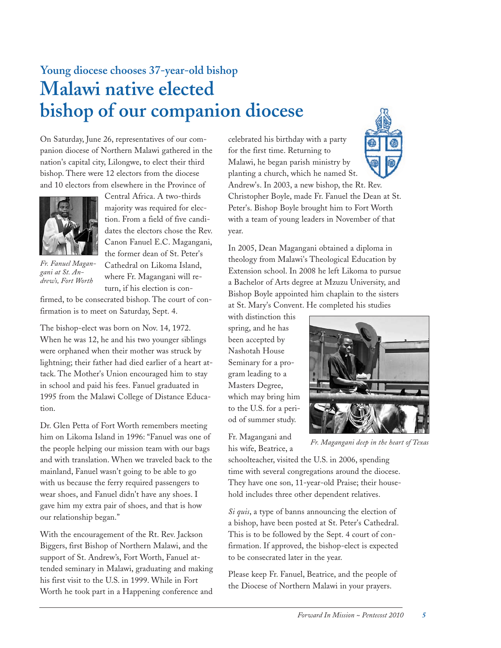## **Young diocese chooses 37-year-old bishop Malawi native elected bishop of our companion diocese**

On Saturday, June 26, representatives of our companion diocese of Northern Malawi gathered in the nation's capital city, Lilongwe, to elect their third bishop. There were 12 electors from the diocese and 10 electors from elsewhere in the Province of



*Fr. Fanuel Magangani at St. Andrew's, Fort Worth*

Central Africa. A two-thirds majority was required for election. From a field of five candidates the electors chose the Rev. Canon Fanuel E.C. Magangani, the former dean of St. Peter's Cathedral on Likoma Island, where Fr. Magangani will return, if his election is con-

firmed, to be consecrated bishop. The court of confirmation is to meet on Saturday, Sept. 4.

The bishop-elect was born on Nov. 14, 1972. When he was 12, he and his two younger siblings were orphaned when their mother was struck by lightning; their father had died earlier of a heart attack. The Mother's Union encouraged him to stay in school and paid his fees. Fanuel graduated in 1995 from the Malawi College of Distance Education.

Dr. Glen Petta of Fort Worth remembers meeting him on Likoma Island in 1996: "Fanuel was one of the people helping our mission team with our bags and with translation. When we traveled back to the mainland, Fanuel wasn't going to be able to go with us because the ferry required passengers to wear shoes, and Fanuel didn't have any shoes. I gave him my extra pair of shoes, and that is how our relationship began."

With the encouragement of the Rt. Rev. Jackson Biggers, first Bishop of Northern Malawi, and the support of St. Andrew's, Fort Worth, Fanuel attended seminary in Malawi, graduating and making his first visit to the U.S. in 1999. While in Fort Worth he took part in a Happening conference and celebrated his birthday with a party for the first time. Returning to Malawi, he began parish ministry by planting a church, which he named St.

Andrew's. In 2003, a new bishop, the Rt. Rev. Christopher Boyle, made Fr. Fanuel the Dean at St. Peter's. Bishop Boyle brought him to Fort Worth with a team of young leaders in November of that year.

In 2005, Dean Magangani obtained a diploma in theology from Malawi's Theological Education by Extension school. In 2008 he left Likoma to pursue a Bachelor of Arts degree at Mzuzu University, and Bishop Boyle appointed him chaplain to the sisters at St. Mary's Convent. He completed his studies

with distinction this spring, and he has been accepted by Nashotah House Seminary for a program leading to a Masters Degree, which may bring him to the U.S. for a period of summer study.

Fr. Magangani and his wife, Beatrice, a



*Fr. Magangani deep in the heart of Texas*

schoolteacher, visited the U.S. in 2006, spending time with several congregations around the diocese. They have one son, 11-year-old Praise; their household includes three other dependent relatives.

*Si quis*, a type of banns announcing the election of a bishop, have been posted at St. Peter's Cathedral. This is to be followed by the Sept. 4 court of confirmation. If approved, the bishop-elect is expected to be consecrated later in the year.

Please keep Fr. Fanuel, Beatrice, and the people of the Diocese of Northern Malawi in your prayers.

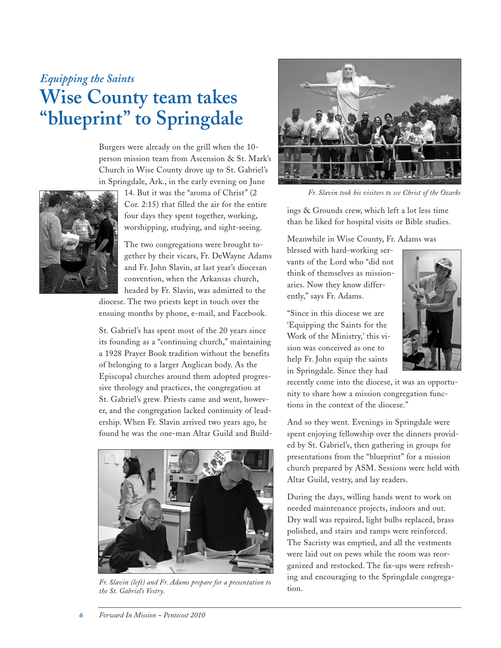## *Equipping the Saints* **Wise County team takes "blueprint" to Springdale**

Burgers were already on the grill when the 10 person mission team from Ascension & St. Mark's Church in Wise County drove up to St. Gabriel's in Springdale, Ark., in the early evening on June



14. But it was the "aroma of Christ" (2 Cor. 2:15) that filled the air for the entire four days they spent together, working, worshipping, studying, and sight-seeing.

The two congregations were brought together by their vicars, Fr. DeWayne Adams and Fr. John Slavin, at last year's diocesan convention, when the Arkansas church, headed by Fr. Slavin, was admitted to the diocese. The two priests kept in touch over the

ensuing months by phone, e-mail, and Facebook.

St. Gabriel's has spent most of the 20 years since its founding as a "continuing church," maintaining a 1928 Prayer Book tradition without the benefits of belonging to a larger Anglican body. As the Episcopal churches around them adopted progressive theology and practices, the congregation at St. Gabriel's grew. Priests came and went, however, and the congregation lacked continuity of leadership. When Fr. Slavin arrived two years ago, he found he was the one-man Altar Guild and Build-



*Fr. Slavin (left) and Fr. Adams prepare for a presentation to the St. Gabriel's Vestry.*



*Fr. Slavin took his visitors to see Christ of the Ozarks*

ings & Grounds crew, which left a lot less time than he liked for hospital visits or Bible studies.

Meanwhile in Wise County, Fr. Adams was

blessed with hard-working servants of the Lord who "did not think of themselves as missionaries. Now they know differently," says Fr. Adams.

"Since in this diocese we are 'Equipping the Saints for the Work of the Ministry,' this vision was conceived as one to help Fr. John equip the saints in Springdale. Since they had



recently come into the diocese, it was an opportunity to share how a mission congregation functions in the context of the diocese."

And so they went. Evenings in Springdale were spent enjoying fellowship over the dinners provided by St. Gabriel's, then gathering in groups for presentations from the "blueprint" for a mission church prepared by ASM. Sessions were held with Altar Guild, vestry, and lay readers.

During the days, willing hands went to work on needed maintenance projects, indoors and out. Dry wall was repaired, light bulbs replaced, brass polished, and stairs and ramps were reinforced. The Sacristy was emptied, and all the vestments were laid out on pews while the room was reorganized and restocked. The fix-ups were refreshing and encouraging to the Springdale congregation.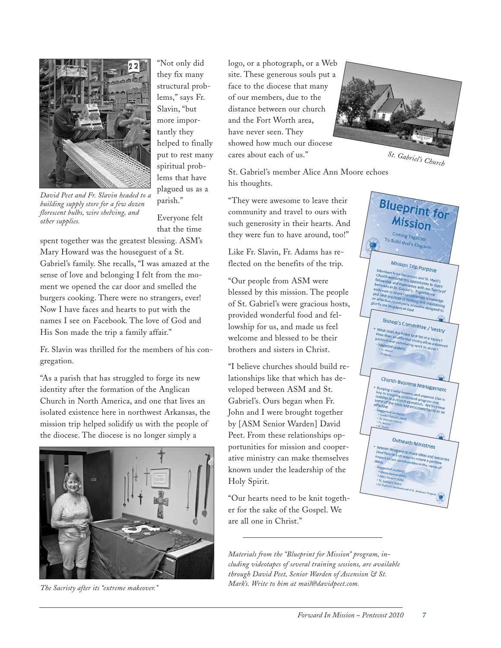

*David Peet and Fr. Slavin headed to a building supply store for a few dozen florescent bulbs, wire shelving, and other supplies.*

"Not only did they fix many structural problems," says Fr. Slavin, "but more importantly they helped to finally put to rest many spiritual problems that have plagued us as a parish."

Everyone felt that the time

spent together was the greatest blessing. ASM's Mary Howard was the houseguest of a St. Gabriel's family. She recalls, "I was amazed at the sense of love and belonging I felt from the moment we opened the car door and smelled the burgers cooking. There were no strangers, ever! Now I have faces and hearts to put with the names I see on Facebook. The love of God and His Son made the trip a family affair."

Fr. Slavin was thrilled for the members of his congregation.

"As a parish that has struggled to forge its new identity after the formation of the Anglican Church in North America, and one that lives an isolated existence here in northwest Arkansas, the mission trip helped solidify us with the people of the diocese. The diocese is no longer simply a



*The Sacristy after its "extreme makeover."*

logo, or a photograph, or a Web site. These generous souls put a face to the diocese that many of our members, due to the distance between our church and the Fort Worth area, have never seen. They showed how much our diocese cares about each of us."



"They were awesome to leave their community and travel to ours with such generosity in their hearts. And they were fun to have around, too!"

Like Fr. Slavin, Fr. Adams has reflected on the benefits of the trip.

"Our people from ASM were blessed by this mission. The people of St. Gabriel's were gracious hosts, provided wonderful food and fellowship for us, and made us feel welcome and blessed to be their brothers and sisters in Christ.

"I believe churches should build relationships like that which has developed between ASM and St. Gabriel's. Ours began when Fr. John and I were brought together by [ASM Senior Warden] David Peet. From these relationships opportunities for mission and cooperative ministry can make themselves known under the leadership of the Holy Spirit.

"Our hearts need to be knit together for the sake of the Gospel. We are all one in Christ."

*Materials from the "Blueprint for Mission" program, including videotapes of several training sessions, are available through David Peet, Senior Warden of Ascension & St. Mark's. Write to him at mail@davidpeet.com.*



*St. Gabriel's Church*

**Blueprint for** Mission

Mission Trip Purpose

Bishop's Committee / Vestry

Church Business Mana

Outreach Ministries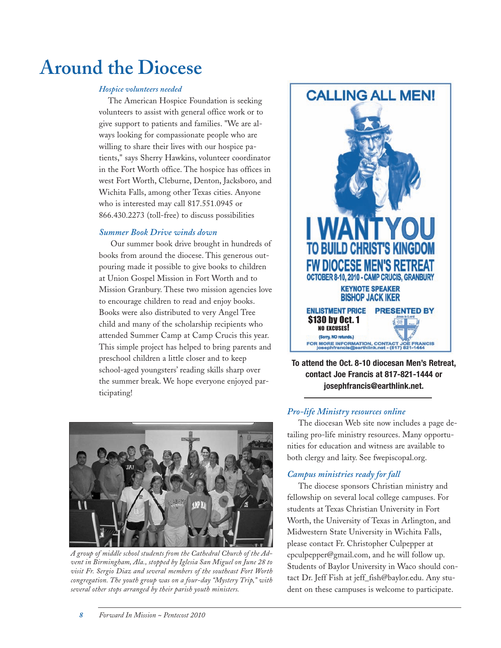# **Around the Diocese**

#### *Hospice volunteers needed*

The American Hospice Foundation is seeking volunteers to assist with general office work or to give support to patients and families. "We are always looking for compassionate people who are willing to share their lives with our hospice patients," says Sherry Hawkins, volunteer coordinator in the Fort Worth office. The hospice has offices in west Fort Worth, Cleburne, Denton, Jacksboro, and Wichita Falls, among other Texas cities. Anyone who is interested may call 817.551.0945 or 866.430.2273 (toll-free) to discuss possibilities

#### *Summer Book Drive winds down*

Our summer book drive brought in hundreds of books from around the diocese. This generous outpouring made it possible to give books to children at Union Gospel Mission in Fort Worth and to Mission Granbury. These two mission agencies love to encourage children to read and enjoy books. Books were also distributed to very Angel Tree child and many of the scholarship recipients who attended Summer Camp at Camp Crucis this year. This simple project has helped to bring parents and preschool children a little closer and to keep school-aged youngsters' reading skills sharp over the summer break. We hope everyone enjoyed participating!



*A group of middle school students from the Cathedral Church of the Advent in Birmingham, Ala., stopped by Iglesia San Miguel on June 28 to visit Fr. Sergio Diaz and several members of the southeast Fort Worth congregation. The youth group was on a four-day "Mystery Trip," with several other stops arranged by their parish youth ministers.*



**To attend the Oct. 8-10 diocesan Men's Retreat, contact Joe Francis at 817-821-1444 or josephfrancis@earthlink.net.**

#### *Pro-life Ministry resources online*

The diocesan Web site now includes a page detailing pro-life ministry resources. Many opportunities for education and witness are available to both clergy and laity. See fwepiscopal.org.

#### *Campus ministries ready for fall*

The diocese sponsors Christian ministry and fellowship on several local college campuses. For students at Texas Christian University in Fort Worth, the University of Texas in Arlington, and Midwestern State University in Wichita Falls, please contact Fr. Christopher Culpepper at cpculpepper@gmail.com, and he will follow up. Students of Baylor University in Waco should contact Dr. Jeff Fish at jeff\_fish@baylor.edu. Any student on these campuses is welcome to participate.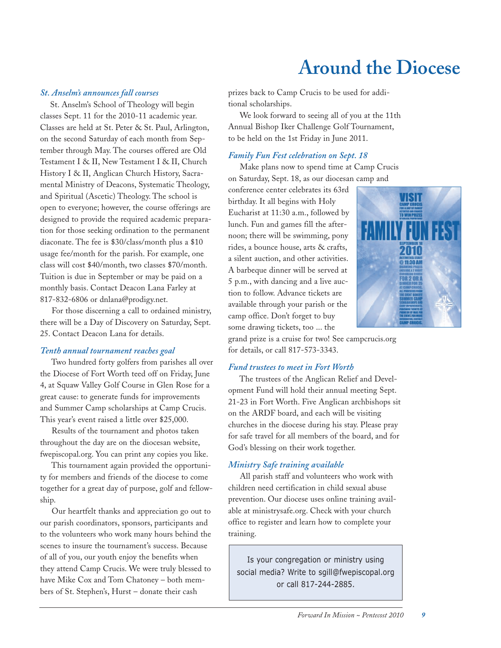# **Around the Diocese**

#### *St. Anselm's announces fall courses*

St. Anselm's School of Theology will begin classes Sept. 11 for the 2010-11 academic year. Classes are held at St. Peter & St. Paul, Arlington, on the second Saturday of each month from September through May. The courses offered are Old Testament I & II, New Testament I & II, Church History I & II, Anglican Church History, Sacramental Ministry of Deacons, Systematic Theology, and Spiritual (Ascetic) Theology. The school is open to everyone; however, the course offerings are designed to provide the required academic preparation for those seeking ordination to the permanent diaconate. The fee is \$30/class/month plus a \$10 usage fee/month for the parish. For example, one class will cost \$40/month, two classes \$70/month. Tuition is due in September or may be paid on a monthly basis. Contact Deacon Lana Farley at 817-832-6806 or dnlana@prodigy.net.

For those discerning a call to ordained ministry, there will be a Day of Discovery on Saturday, Sept. 25. Contact Deacon Lana for details.

#### *Tenth annual tournament reaches goal*

Two hundred forty golfers from parishes all over the Diocese of Fort Worth teed off on Friday, June 4, at Squaw Valley Golf Course in Glen Rose for a great cause: to generate funds for improvements and Summer Camp scholarships at Camp Crucis. This year's event raised a little over \$25,000.

Results of the tournament and photos taken throughout the day are on the diocesan website, fwepiscopal.org. You can print any copies you like.

This tournament again provided the opportunity for members and friends of the diocese to come together for a great day of purpose, golf and fellowship.

Our heartfelt thanks and appreciation go out to our parish coordinators, sponsors, participants and to the volunteers who work many hours behind the scenes to insure the tournament's success. Because of all of you, our youth enjoy the benefits when they attend Camp Crucis. We were truly blessed to have Mike Cox and Tom Chatoney – both members of St. Stephen's, Hurst – donate their cash

prizes back to Camp Crucis to be used for additional scholarships.

We look forward to seeing all of you at the 11th Annual Bishop Iker Challenge Golf Tournament, to be held on the 1st Friday in June 2011.

#### *Family Fun Fest celebration on Sept. 18*

Make plans now to spend time at Camp Crucis on Saturday, Sept. 18, as our diocesan camp and

conference center celebrates its 63rd birthday. It all begins with Holy Eucharist at 11:30 a.m., followed by lunch. Fun and games fill the afternoon; there will be swimming, pony rides, a bounce house, arts & crafts, a silent auction, and other activities. A barbeque dinner will be served at 5 p.m., with dancing and a live auction to follow. Advance tickets are available through your parish or the camp office. Don't forget to buy some drawing tickets, too ... the



grand prize is a cruise for two! See campcrucis.org for details, or call 817-573-3343.

#### *Fund trustees to meet in Fort Worth*

The trustees of the Anglican Relief and Development Fund will hold their annual meeting Sept. 21-23 in Fort Worth. Five Anglican archbishops sit on the ARDF board, and each will be visiting churches in the diocese during his stay. Please pray for safe travel for all members of the board, and for God's blessing on their work together.

#### *Ministry Safe training available*

All parish staff and volunteers who work with children need certification in child sexual abuse prevention. Our diocese uses online training available at ministrysafe.org. Check with your church office to register and learn how to complete your training.

Is your congregation or ministry using social media? Write to sgill@fwepiscopal.org or call 817-244-2885.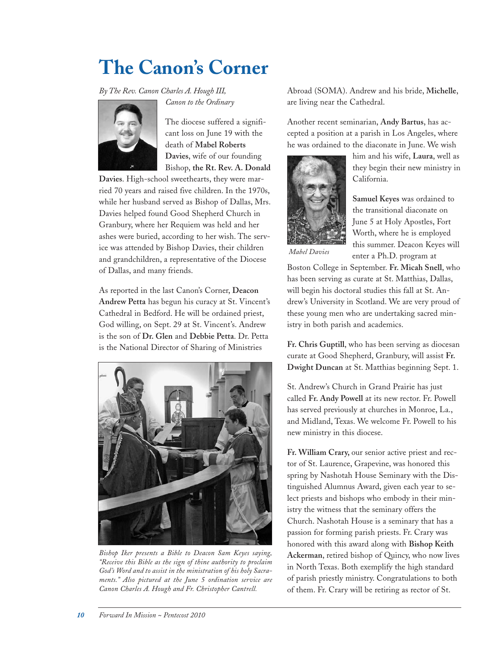# **The Canon's Corner**

*By The Rev. Canon Charles A. Hough III,*

*Canon to the Ordinary*



The diocese suffered a significant loss on June 19 with the death of **Mabel Roberts Davies**, wife of our founding Bishop, **the Rt. Rev. A. Donald**

**Davies**. High-school sweethearts, they were married 70 years and raised five children. In the 1970s, while her husband served as Bishop of Dallas, Mrs. Davies helped found Good Shepherd Church in Granbury, where her Requiem was held and her ashes were buried, according to her wish. The service was attended by Bishop Davies, their children and grandchildren, a representative of the Diocese of Dallas, and many friends.

As reported in the last Canon's Corner, **Deacon Andrew Petta** has begun his curacy at St. Vincent's Cathedral in Bedford. He will be ordained priest, God willing, on Sept. 29 at St. Vincent's. Andrew is the son of **Dr. Glen** and **Debbie Petta**. Dr. Petta is the National Director of Sharing of Ministries



*Bishop Iker presents a Bible to Deacon Sam Keyes saying, "Receive this Bible as the sign of thine authority to proclaim God's Word and to assist in the ministration of his holy Sacraments." Also pictured at the June 5 ordination service are Canon Charles A. Hough and Fr. Christopher Cantrell.*

Abroad (SOMA). Andrew and his bride, **Michelle**, are living near the Cathedral.

Another recent seminarian, **Andy Bartus**, has accepted a position at a parish in Los Angeles, where he was ordained to the diaconate in June. We wish



him and his wife, **Laura**, well as they begin their new ministry in California.

**Samuel Keyes** was ordained to the transitional diaconate on June 5 at Holy Apostles, Fort Worth, where he is employed this summer. Deacon Keyes will enter a Ph.D. program at

*Mabel Davies*

Boston College in September. **Fr. Micah Snell**, who has been serving as curate at St. Matthias, Dallas, will begin his doctoral studies this fall at St. Andrew's University in Scotland. We are very proud of these young men who are undertaking sacred ministry in both parish and academics.

**Fr. Chris Guptill**, who has been serving as diocesan curate at Good Shepherd, Granbury, will assist **Fr. Dwight Duncan** at St. Matthias beginning Sept. 1.

St. Andrew's Church in Grand Prairie has just called **Fr. Andy Powell** at its new rector. Fr. Powell has served previously at churches in Monroe, La., and Midland, Texas. We welcome Fr. Powell to his new ministry in this diocese.

**Fr. William Crary,** our senior active priest and rector of St. Laurence, Grapevine, was honored this spring by Nashotah House Seminary with the Distinguished Alumnus Award, given each year to select priests and bishops who embody in their ministry the witness that the seminary offers the Church. Nashotah House is a seminary that has a passion for forming parish priests. Fr. Crary was honored with this award along with **Bishop Keith Ackerman**, retired bishop of Quincy, who now lives in North Texas. Both exemplify the high standard of parish priestly ministry. Congratulations to both of them. Fr. Crary will be retiring as rector of St.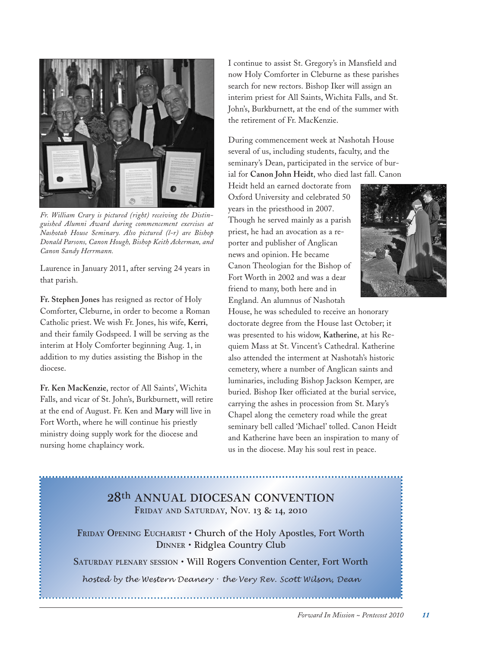

*Fr. William Crary is pictured (right) receiving the Distinguished Alumni Award during commencement exercises at Nashotah House Seminary. Also pictured (l-r) are Bishop Donald Parsons, Canon Hough, Bishop Keith Ackerman, and Canon Sandy Herrmann.*

Laurence in January 2011, after serving 24 years in that parish.

**Fr. Stephen Jones** has resigned as rector of Holy Comforter, Cleburne, in order to become a Roman Catholic priest. We wish Fr. Jones, his wife, **Kerri**, and their family Godspeed. I will be serving as the interim at Holy Comforter beginning Aug. 1, in addition to my duties assisting the Bishop in the diocese.

**Fr. Ken MacKenzie**, rector of All Saints', Wichita Falls, and vicar of St. John's, Burkburnett, will retire at the end of August. Fr. Ken and **Mary** will live in Fort Worth, where he will continue his priestly ministry doing supply work for the diocese and nursing home chaplaincy work.

I continue to assist St. Gregory's in Mansfield and now Holy Comforter in Cleburne as these parishes search for new rectors. Bishop Iker will assign an interim priest for All Saints, Wichita Falls, and St. John's, Burkburnett, at the end of the summer with the retirement of Fr. MacKenzie.

During commencement week at Nashotah House several of us, including students, faculty, and the seminary's Dean, participated in the service of burial for **Canon John Heidt**, who died last fall. Canon

Heidt held an earned doctorate from Oxford University and celebrated 50 years in the priesthood in 2007. Though he served mainly as a parish priest, he had an avocation as a reporter and publisher of Anglican news and opinion. He became Canon Theologian for the Bishop of Fort Worth in 2002 and was a dear friend to many, both here and in England. An alumnus of Nashotah



House, he was scheduled to receive an honorary doctorate degree from the House last October; it was presented to his widow, **Katherine**, at his Requiem Mass at St. Vincent's Cathedral. Katherine also attended the interment at Nashotah's historic cemetery, where a number of Anglican saints and luminaries, including Bishop Jackson Kemper, are buried. Bishop Iker officiated at the burial service, carrying the ashes in procession from St. Mary's Chapel along the cemetery road while the great seminary bell called 'Michael' tolled. Canon Heidt and Katherine have been an inspiration to many of us in the diocese. May his soul rest in peace.

### 28th ANNUAL DIOCESAN CONVENTION FRIDAY AND SATURDAY, NOV. 13 & 14, 2010

FRIDAY OPENING EUCHARIST • Church of the Holy Apostles, Fort Worth DINNER • Ridglea Country Club

SATURDAY PLENARY SESSION • Will Rogers Convention Center, Fort Worth

*hosted by the Western Deanery* • *the Very Rev. Scott Wilson, Dean*